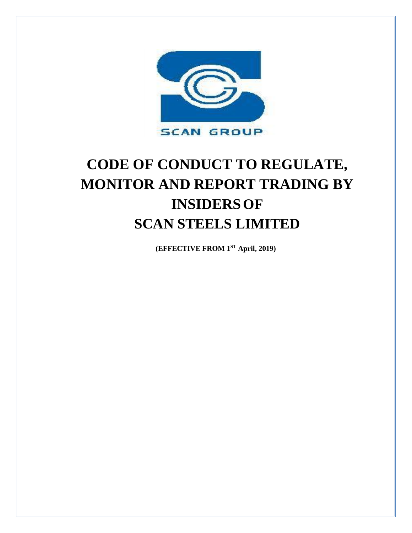

# **CODE OF CONDUCT TO REGULATE, MONITOR AND REPORT TRADING BY INSIDERSOF SCAN STEELS LIMITED**

**(EFFECTIVE FROM 1ST April, 2019)**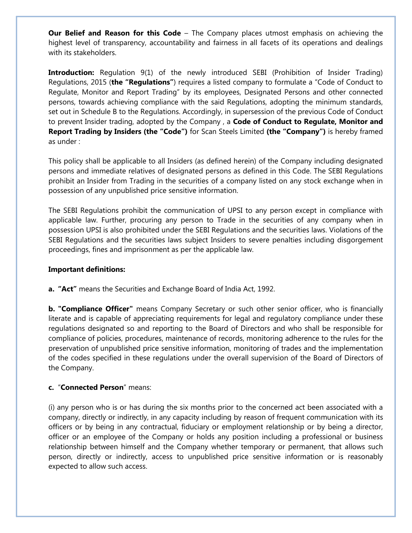**Our Belief and Reason for this Code** – The Company places utmost emphasis on achieving the highest level of transparency, accountability and fairness in all facets of its operations and dealings with its stakeholders.

**Introduction:** Regulation 9(1) of the newly introduced SEBI (Prohibition of Insider Trading) Regulations, 2015 (**the "Regulations"**) requires a listed company to formulate a "Code of Conduct to Regulate, Monitor and Report Trading" by its employees, Designated Persons and other connected persons, towards achieving compliance with the said Regulations, adopting the minimum standards, set out in Schedule B to the Regulations. Accordingly, in supersession of the previous Code of Conduct to prevent Insider trading, adopted by the Company , a **Code of Conduct to Regulate, Monitor and Report Trading by Insiders (the "Code")** for Scan Steels Limited **(the "Company")** is hereby framed as under :

This policy shall be applicable to all Insiders (as defined herein) of the Company including designated persons and immediate relatives of designated persons as defined in this Code. The SEBI Regulations prohibit an Insider from Trading in the securities of a company listed on any stock exchange when in possession of any unpublished price sensitive information.

The SEBI Regulations prohibit the communication of UPSI to any person except in compliance with applicable law. Further, procuring any person to Trade in the securities of any company when in possession UPSI is also prohibited under the SEBI Regulations and the securities laws. Violations of the SEBI Regulations and the securities laws subject Insiders to severe penalties including disgorgement proceedings, fines and imprisonment as per the applicable law.

## **Important definitions:**

**a. "Act"** means the Securities and Exchange Board of India Act, 1992.

**b. "Compliance Officer"** means Company Secretary or such other senior officer, who is financially literate and is capable of appreciating requirements for legal and regulatory compliance under these regulations designated so and reporting to the Board of Directors and who shall be responsible for compliance of policies, procedures, maintenance of records, monitoring adherence to the rules for the preservation of unpublished price sensitive information, monitoring of trades and the implementation of the codes specified in these regulations under the overall supervision of the Board of Directors of the Company.

## **c.** "**Connected Person**" means:

(i) any person who is or has during the six months prior to the concerned act been associated with a company, directly or indirectly, in any capacity including by reason of frequent communication with its officers or by being in any contractual, fiduciary or employment relationship or by being a director, officer or an employee of the Company or holds any position including a professional or business relationship between himself and the Company whether temporary or permanent, that allows such person, directly or indirectly, access to unpublished price sensitive information or is reasonably expected to allow such access.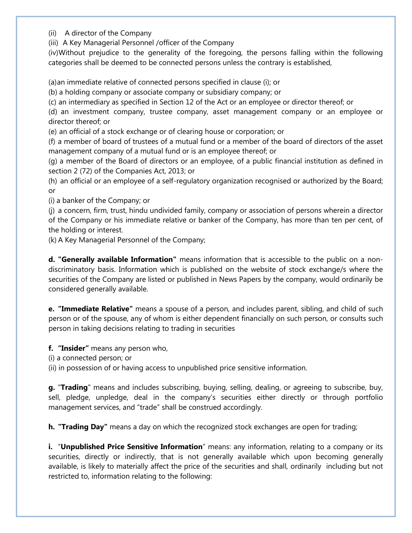(ii) A director of the Company

(iii) A Key Managerial Personnel /officer of the Company

(iv)Without prejudice to the generality of the foregoing, the persons falling within the following categories shall be deemed to be connected persons unless the contrary is established,

(a)an immediate relative of connected persons specified in clause (i); or

(b) a holding company or associate company or subsidiary company; or

(c) an intermediary as specified in Section 12 of the Act or an employee or director thereof; or

(d) an investment company, trustee company, asset management company or an employee or director thereof; or

(e) an official of a stock exchange or of clearing house or corporation; or

(f) a member of board of trustees of a mutual fund or a member of the board of directors of the asset management company of a mutual fund or is an employee thereof; or

(g) a member of the Board of directors or an employee, of a public financial institution as defined in section 2 (72) of the Companies Act, 2013; or

(h) an official or an employee of a self-regulatory organization recognised or authorized by the Board; or

(i) a banker of the Company; or

(j) a concern, firm, trust, hindu undivided family, company or association of persons wherein a director of the Company or his immediate relative or banker of the Company, has more than ten per cent, of the holding or interest.

(k) A Key Managerial Personnel of the Company;

**d. "Generally available Information"** means information that is accessible to the public on a nondiscriminatory basis. Information which is published on the website of stock exchange/s where the securities of the Company are listed or published in News Papers by the company, would ordinarily be considered generally available.

**e. "Immediate Relative"** means a spouse of a person, and includes parent, sibling, and child of such person or of the spouse, any of whom is either dependent financially on such person, or consults such person in taking decisions relating to trading in securities

**f. "Insider"** means any person who,

(i) a connected person; or

(ii) in possession of or having access to unpublished price sensitive information.

**g.** "**Trading**" means and includes subscribing, buying, selling, dealing, or agreeing to subscribe, buy, sell, pledge, unpledge, deal in the company's securities either directly or through portfolio management services, and "trade" shall be construed accordingly.

**h. "Trading Day"** means a day on which the recognized stock exchanges are open for trading;

**i.** "**Unpublished Price Sensitive Information**" means: any information, relating to a company or its securities, directly or indirectly, that is not generally available which upon becoming generally available, is likely to materially affect the price of the securities and shall, ordinarily including but not restricted to, information relating to the following: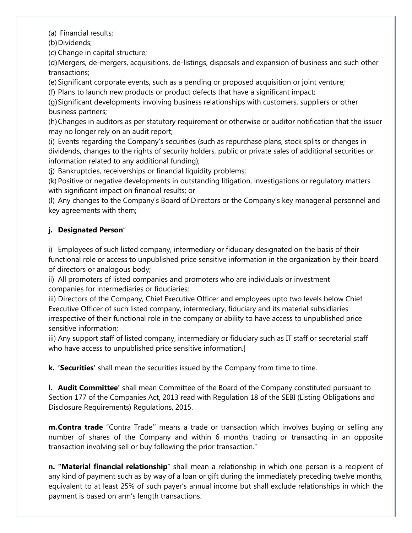(a) Financial results;

(b) Dividends;

(c) Change in capital structure;

(d)Mergers, de-mergers, acquisitions, de-listings, disposals and expansion of business and such other transactions;

(e) Significant corporate events, such as a pending or proposed acquisition or joint venture;

(f) Plans to launch new products or product defects that have a significant impact;

(g)Significant developments involving business relationships with customers, suppliers or other business partners;

(h)Changes in auditors as per statutory requirement or otherwise or auditor notification that the issuer may no longer rely on an audit report;

(i) Events regarding the Company's securities (such as repurchase plans, stock splits or changes in dividends, changes to the rights of security holders, public or private sales of additional securities or information related to any additional funding);

(j) Bankruptcies, receiverships or financial liquidity problems;

(k) Positive or negative developments in outstanding litigation, investigations or regulatory matters with significant impact on financial results; or

(l) Any changes to the Company's Board of Directors or the Company's key managerial personnel and key agreements with them;

# **j. Designated Person**"

i) Employees of such listed company, intermediary or fiduciary designated on the basis of their functional role or access to unpublished price sensitive information in the organization by their board of directors or analogous body;

ii) All promoters of listed companies and promoters who are individuals or investment companies for intermediaries or fiduciaries;

iii) Directors of the Company, Chief Executive Officer and employees upto two levels below Chief Executive Officer of such listed company, intermediary, fiduciary and its material subsidiaries irrespective of their functional role in the company or ability to have access to unpublished price sensitive information;

iii) Any support staff of listed company, intermediary or fiduciary such as IT staff or secretarial staff who have access to unpublished price sensitive information.]

**k. 'Securities'** shall mean the securities issued by the Company from time to time.

**l. Audit Committee'** shall mean Committee of the Board of the Company constituted pursuant to Section 177 of the Companies Act, 2013 read with Regulation 18 of the SEBI (Listing Obligations and Disclosure Requirements) Regulations, 2015.

**m.Contra trade** "Contra Trade'' means a trade or transaction which involves buying or selling any number of shares of the Company and within 6 months trading or transacting in an opposite transaction involving sell or buy following the prior transaction."

**n. "Material financial relationship**" shall mean a relationship in which one person is a recipient of any kind of payment such as by way of a loan or gift during the immediately preceding twelve months, equivalent to at least 25% of such payer's annual income but shall exclude relationships in which the payment is based on arm's length transactions.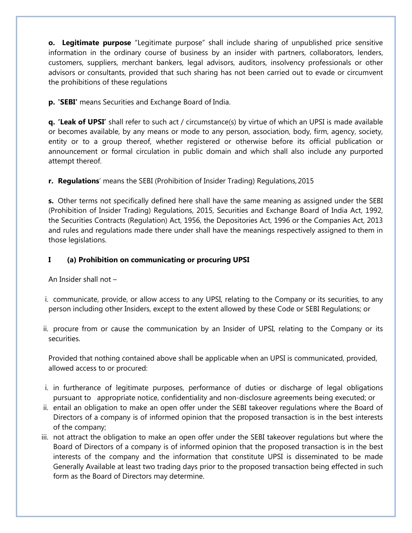**o. Legitimate purpose** "Legitimate purpose" shall include sharing of unpublished price sensitive information in the ordinary course of business by an insider with partners, collaborators, lenders, customers, suppliers, merchant bankers, legal advisors, auditors, insolvency professionals or other advisors or consultants, provided that such sharing has not been carried out to evade or circumvent the prohibitions of these regulations

**p. 'SEBI'** means Securities and Exchange Board of India.

**q. 'Leak of UPSI'** shall refer to such act / circumstance(s) by virtue of which an UPSI is made available or becomes available, by any means or mode to any person, association, body, firm, agency, society, entity or to a group thereof, whether registered or otherwise before its official publication or announcement or formal circulation in public domain and which shall also include any purported attempt thereof.

**r. Regulations**' means the SEBI (Prohibition of Insider Trading) Regulations, 2015

**s.** Other terms not specifically defined here shall have the same meaning as assigned under the SEBI (Prohibition of Insider Trading) Regulations, 2015, Securities and Exchange Board of India Act, 1992, the Securities Contracts (Regulation) Act, 1956, the Depositories Act, 1996 or the Companies Act, 2013 and rules and regulations made there under shall have the meanings respectively assigned to them in those legislations.

# **I (a) Prohibition on communicating or procuring UPSI**

An Insider shall not –

- i. communicate, provide, or allow access to any UPSI, relating to the Company or its securities, to any person including other Insiders, except to the extent allowed by these Code or SEBI Regulations; or
- ii. procure from or cause the communication by an Insider of UPSI, relating to the Company or its securities.

Provided that nothing contained above shall be applicable when an UPSI is communicated, provided, allowed access to or procured:

- i. in furtherance of legitimate purposes, performance of duties or discharge of legal obligations pursuant to appropriate notice, confidentiality and non-disclosure agreements being executed; or
- ii. entail an obligation to make an open offer under the SEBI takeover regulations where the Board of Directors of a company is of informed opinion that the proposed transaction is in the best interests of the company;
- iii. not attract the obligation to make an open offer under the SEBI takeover regulations but where the Board of Directors of a company is of informed opinion that the proposed transaction is in the best interests of the company and the information that constitute UPSI is disseminated to be made Generally Available at least two trading days prior to the proposed transaction being effected in such form as the Board of Directors may determine.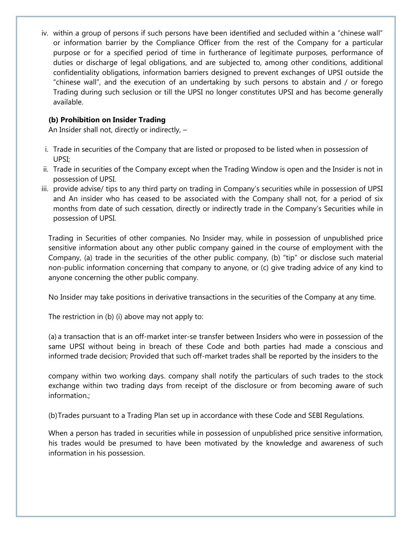iv. within a group of persons if such persons have been identified and secluded within a "chinese wall" or information barrier by the Compliance Officer from the rest of the Company for a particular purpose or for a specified period of time in furtherance of legitimate purposes, performance of duties or discharge of legal obligations, and are subjected to, among other conditions, additional confidentiality obligations, information barriers designed to prevent exchanges of UPSI outside the "chinese wall", and the execution of an undertaking by such persons to abstain and / or forego Trading during such seclusion or till the UPSI no longer constitutes UPSI and has become generally available.

# **(b) Prohibition on Insider Trading**

An Insider shall not, directly or indirectly, –

- i. Trade in securities of the Company that are listed or proposed to be listed when in possession of UPSI;
- ii. Trade in securities of the Company except when the Trading Window is open and the Insider is not in possession of UPSI.
- iii. provide advise/ tips to any third party on trading in Company's securities while in possession of UPSI and An insider who has ceased to be associated with the Company shall not, for a period of six months from date of such cessation, directly or indirectly trade in the Company's Securities while in possession of UPSI.

Trading in Securities of other companies. No Insider may, while in possession of unpublished price sensitive information about any other public company gained in the course of employment with the Company, (a) trade in the securities of the other public company, (b) "tip" or disclose such material non-public information concerning that company to anyone, or (c) give trading advice of any kind to anyone concerning the other public company.

No Insider may take positions in derivative transactions in the securities of the Company at any time.

The restriction in (b) (i) above may not apply to:

(a) a transaction that is an off-market inter-se transfer between Insiders who were in possession of the same UPSI without being in breach of these Code and both parties had made a conscious and informed trade decision; Provided that such off-market trades shall be reported by the insiders to the

company within two working days. company shall notify the particulars of such trades to the stock exchange within two trading days from receipt of the disclosure or from becoming aware of such information.;

(b)Trades pursuant to a Trading Plan set up in accordance with these Code and SEBI Regulations.

When a person has traded in securities while in possession of unpublished price sensitive information, his trades would be presumed to have been motivated by the knowledge and awareness of such information in his possession.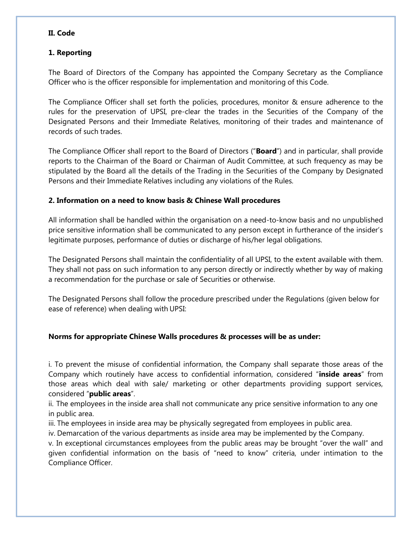# **II. Code**

# **1. Reporting**

The Board of Directors of the Company has appointed the Company Secretary as the Compliance Officer who is the officer responsible for implementation and monitoring of this Code.

The Compliance Officer shall set forth the policies, procedures, monitor & ensure adherence to the rules for the preservation of UPSI, pre-clear the trades in the Securities of the Company of the Designated Persons and their Immediate Relatives, monitoring of their trades and maintenance of records of such trades.

The Compliance Officer shall report to the Board of Directors ("**Board**") and in particular, shall provide reports to the Chairman of the Board or Chairman of Audit Committee, at such frequency as may be stipulated by the Board all the details of the Trading in the Securities of the Company by Designated Persons and their Immediate Relatives including any violations of the Rules.

# **2. Information on a need to know basis & Chinese Wall procedures**

All information shall be handled within the organisation on a need-to-know basis and no unpublished price sensitive information shall be communicated to any person except in furtherance of the insider's legitimate purposes, performance of duties or discharge of his/her legal obligations.

The Designated Persons shall maintain the confidentiality of all UPSI, to the extent available with them. They shall not pass on such information to any person directly or indirectly whether by way of making a recommendation for the purchase or sale of Securities or otherwise.

The Designated Persons shall follow the procedure prescribed under the Regulations (given below for ease of reference) when dealing with UPSI:

# **Norms for appropriate Chinese Walls procedures & processes will be as under:**

i. To prevent the misuse of confidential information, the Company shall separate those areas of the Company which routinely have access to confidential information, considered "**inside areas**" from those areas which deal with sale/ marketing or other departments providing support services, considered "**public areas**".

ii. The employees in the inside area shall not communicate any price sensitive information to any one in public area.

iii. The employees in inside area may be physically segregated from employees in public area.

iv. Demarcation of the various departments as inside area may be implemented by the Company.

v. In exceptional circumstances employees from the public areas may be brought "over the wall" and given confidential information on the basis of "need to know" criteria, under intimation to the Compliance Officer.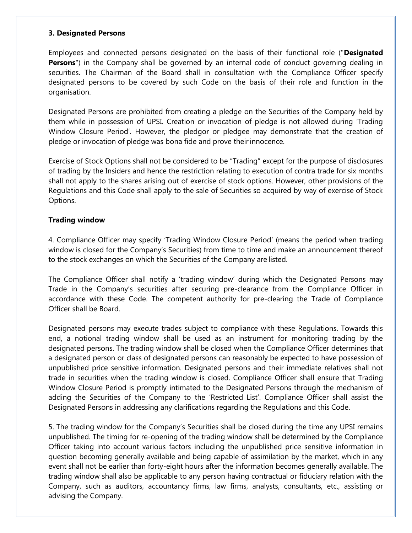#### **3. Designated Persons**

Employees and connected persons designated on the basis of their functional role ("**Designated Persons**") in the Company shall be governed by an internal code of conduct governing dealing in securities. The Chairman of the Board shall in consultation with the Compliance Officer specify designated persons to be covered by such Code on the basis of their role and function in the organisation.

Designated Persons are prohibited from creating a pledge on the Securities of the Company held by them while in possession of UPSI. Creation or invocation of pledge is not allowed during 'Trading Window Closure Period'. However, the pledgor or pledgee may demonstrate that the creation of pledge or invocation of pledge was bona fide and prove theirinnocence.

Exercise of Stock Options shall not be considered to be "Trading" except for the purpose of disclosures of trading by the Insiders and hence the restriction relating to execution of contra trade for six months shall not apply to the shares arising out of exercise of stock options. However, other provisions of the Regulations and this Code shall apply to the sale of Securities so acquired by way of exercise of Stock Options.

## **Trading window**

4. Compliance Officer may specify 'Trading Window Closure Period' (means the period when trading window is closed for the Company's Securities) from time to time and make an announcement thereof to the stock exchanges on which the Securities of the Company are listed.

The Compliance Officer shall notify a 'trading window' during which the Designated Persons may Trade in the Company's securities after securing pre-clearance from the Compliance Officer in accordance with these Code. The competent authority for pre-clearing the Trade of Compliance Officer shall be Board.

Designated persons may execute trades subject to compliance with these Regulations. Towards this end, a notional trading window shall be used as an instrument for monitoring trading by the designated persons. The trading window shall be closed when the Compliance Officer determines that a designated person or class of designated persons can reasonably be expected to have possession of unpublished price sensitive information. Designated persons and their immediate relatives shall not trade in securities when the trading window is closed. Compliance Officer shall ensure that Trading Window Closure Period is promptly intimated to the Designated Persons through the mechanism of adding the Securities of the Company to the 'Restricted List'. Compliance Officer shall assist the Designated Persons in addressing any clarifications regarding the Regulations and this Code.

5. The trading window for the Company's Securities shall be closed during the time any UPSI remains unpublished. The timing for re-opening of the trading window shall be determined by the Compliance Officer taking into account various factors including the unpublished price sensitive information in question becoming generally available and being capable of assimilation by the market, which in any event shall not be earlier than forty-eight hours after the information becomes generally available. The trading window shall also be applicable to any person having contractual or fiduciary relation with the Company, such as auditors, accountancy firms, law firms, analysts, consultants, etc., assisting or advising the Company.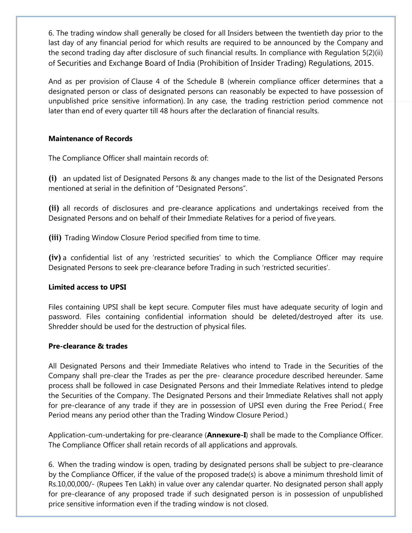6. The trading window shall generally be closed for all Insiders between the twentieth day prior to the last day of any financial period for which results are required to be announced by the Company and the second trading day after disclosure of such financial results. In compliance with Regulation 5(2)(ii) of Securities and Exchange Board of India (Prohibition of Insider Trading) Regulations, 2015.

And as per provision of Clause 4 of the Schedule B (wherein compliance officer determines that a designated person or class of designated persons can reasonably be expected to have possession of unpublished price sensitive information). In any case, the trading restriction period commence not later than end of every quarter till 48 hours after the declaration of financial results.

# **Maintenance of Records**

The Compliance Officer shall maintain records of:

**(i)** an updated list of Designated Persons & any changes made to the list of the Designated Persons mentioned at serial in the definition of "Designated Persons".

**(ii)** all records of disclosures and pre-clearance applications and undertakings received from the Designated Persons and on behalf of their Immediate Relatives for a period of five years.

**(iii)** Trading Window Closure Period specified from time to time.

**(iv)** a confidential list of any 'restricted securities' to which the Compliance Officer may require Designated Persons to seek pre-clearance before Trading in such 'restricted securities'.

## **Limited access to UPSI**

Files containing UPSI shall be kept secure. Computer files must have adequate security of login and password. Files containing confidential information should be deleted/destroyed after its use. Shredder should be used for the destruction of physical files.

## **Pre-clearance & trades**

All Designated Persons and their Immediate Relatives who intend to Trade in the Securities of the Company shall pre-clear the Trades as per the pre- clearance procedure described hereunder. Same process shall be followed in case Designated Persons and their Immediate Relatives intend to pledge the Securities of the Company. The Designated Persons and their Immediate Relatives shall not apply for pre-clearance of any trade if they are in possession of UPSI even during the Free Period.( Free Period means any period other than the Trading Window Closure Period.)

Application-cum-undertaking for pre-clearance (**Annexure-I**) shall be made to the Compliance Officer. The Compliance Officer shall retain records of all applications and approvals.

6. When the trading window is open, trading by designated persons shall be subject to pre-clearance by the Compliance Officer, if the value of the proposed trade(s) is above a minimum threshold limit of Rs.10,00,000/- (Rupees Ten Lakh) in value over any calendar quarter. No designated person shall apply for pre-clearance of any proposed trade if such designated person is in possession of unpublished price sensitive information even if the trading window is not closed.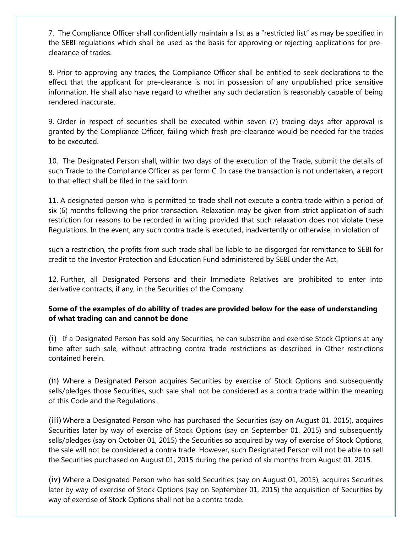7. The Compliance Officer shall confidentially maintain a list as a "restricted list" as may be specified in the SEBI regulations which shall be used as the basis for approving or rejecting applications for preclearance of trades.

8. Prior to approving any trades, the Compliance Officer shall be entitled to seek declarations to the effect that the applicant for pre-clearance is not in possession of any unpublished price sensitive information. He shall also have regard to whether any such declaration is reasonably capable of being rendered inaccurate.

9. Order in respect of securities shall be executed within seven (7) trading days after approval is granted by the Compliance Officer, failing which fresh pre-clearance would be needed for the trades to be executed.

10. The Designated Person shall, within two days of the execution of the Trade, submit the details of such Trade to the Compliance Officer as per form C. In case the transaction is not undertaken, a report to that effect shall be filed in the said form.

11. A designated person who is permitted to trade shall not execute a contra trade within a period of six (6) months following the prior transaction. Relaxation may be given from strict application of such restriction for reasons to be recorded in writing provided that such relaxation does not violate these Regulations. In the event, any such contra trade is executed, inadvertently or otherwise, in violation of

such a restriction, the profits from such trade shall be liable to be disgorged for remittance to SEBI for credit to the Investor Protection and Education Fund administered by SEBI under the Act.

12. Further, all Designated Persons and their Immediate Relatives are prohibited to enter into derivative contracts, if any, in the Securities of the Company.

# **Some of the examples of do ability of trades are provided below for the ease of understanding of what trading can and cannot be done**

(i) If a Designated Person has sold any Securities, he can subscribe and exercise Stock Options at any time after such sale, without attracting contra trade restrictions as described in Other restrictions contained herein.

(ii) Where a Designated Person acquires Securities by exercise of Stock Options and subsequently sells/pledges those Securities, such sale shall not be considered as a contra trade within the meaning of this Code and the Regulations.

(iii) Where a Designated Person who has purchased the Securities (say on August 01, 2015), acquires Securities later by way of exercise of Stock Options (say on September 01, 2015) and subsequently sells/pledges (say on October 01, 2015) the Securities so acquired by way of exercise of Stock Options, the sale will not be considered a contra trade. However, such Designated Person will not be able to sell the Securities purchased on August 01, 2015 during the period of six months from August 01, 2015.

(iv) Where a Designated Person who has sold Securities (say on August 01, 2015), acquires Securities later by way of exercise of Stock Options (say on September 01, 2015) the acquisition of Securities by way of exercise of Stock Options shall not be a contra trade.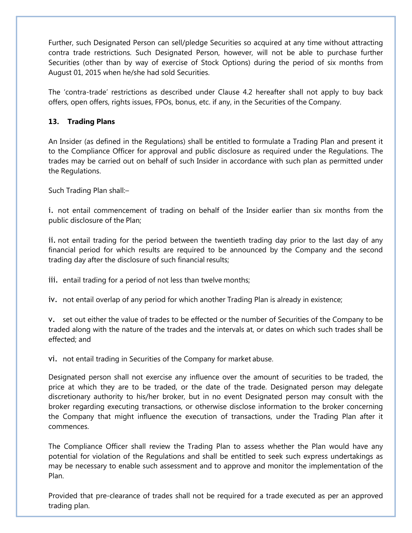Further, such Designated Person can sell/pledge Securities so acquired at any time without attracting contra trade restrictions. Such Designated Person, however, will not be able to purchase further Securities (other than by way of exercise of Stock Options) during the period of six months from August 01, 2015 when he/she had sold Securities.

The 'contra-trade' restrictions as described under Clause 4.2 hereafter shall not apply to buy back offers, open offers, rights issues, FPOs, bonus, etc. if any, in the Securities of the Company.

# **13. Trading Plans**

An Insider (as defined in the Regulations) shall be entitled to formulate a Trading Plan and present it to the Compliance Officer for approval and public disclosure as required under the Regulations. The trades may be carried out on behalf of such Insider in accordance with such plan as permitted under the Regulations.

Such Trading Plan shall:–

i. not entail commencement of trading on behalf of the Insider earlier than six months from the public disclosure of the Plan;

ii. not entail trading for the period between the twentieth trading day prior to the last day of any financial period for which results are required to be announced by the Company and the second trading day after the disclosure of such financial results;

iii. entail trading for a period of not less than twelve months;

iv. not entail overlap of any period for which another Trading Plan is already in existence;

v. set out either the value of trades to be effected or the number of Securities of the Company to be traded along with the nature of the trades and the intervals at, or dates on which such trades shall be effected; and

vi. not entail trading in Securities of the Company for market abuse.

Designated person shall not exercise any influence over the amount of securities to be traded, the price at which they are to be traded, or the date of the trade. Designated person may delegate discretionary authority to his/her broker, but in no event Designated person may consult with the broker regarding executing transactions, or otherwise disclose information to the broker concerning the Company that might influence the execution of transactions, under the Trading Plan after it commences.

The Compliance Officer shall review the Trading Plan to assess whether the Plan would have any potential for violation of the Regulations and shall be entitled to seek such express undertakings as may be necessary to enable such assessment and to approve and monitor the implementation of the Plan.

Provided that pre-clearance of trades shall not be required for a trade executed as per an approved trading plan.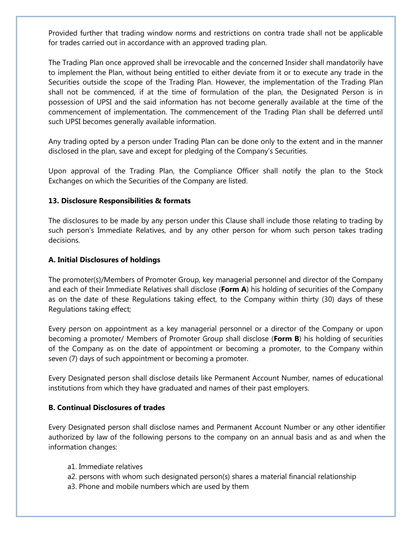Provided further that trading window norms and restrictions on contra trade shall not be applicable for trades carried out in accordance with an approved trading plan.

The Trading Plan once approved shall be irrevocable and the concerned Insider shall mandatorily have to implement the Plan, without being entitled to either deviate from it or to execute any trade in the Securities outside the scope of the Trading Plan. However, the implementation of the Trading Plan shall not be commenced, if at the time of formulation of the plan, the Designated Person is in possession of UPSI and the said information has not become generally available at the time of the commencement of implementation. The commencement of the Trading Plan shall be deferred until such UPSI becomes generally available information.

Any trading opted by a person under Trading Plan can be done only to the extent and in the manner disclosed in the plan, save and except for pledging of the Company's Securities.

Upon approval of the Trading Plan, the Compliance Officer shall notify the plan to the Stock Exchanges on which the Securities of the Company are listed.

## **13. Disclosure Responsibilities & formats**

The disclosures to be made by any person under this Clause shall include those relating to trading by such person's Immediate Relatives, and by any other person for whom such person takes trading decisions.

#### **A. Initial Disclosures of holdings**

The promoter(s)/Members of Promoter Group, key managerial personnel and director of the Company and each of their Immediate Relatives shall disclose (**Form A**) his holding of securities of the Company as on the date of these Regulations taking effect, to the Company within thirty (30) days of these Regulations taking effect;

Every person on appointment as a key managerial personnel or a director of the Company or upon becoming a promoter/ Members of Promoter Group shall disclose (**Form B**) his holding of securities of the Company as on the date of appointment or becoming a promoter, to the Company within seven (7) days of such appointment or becoming a promoter.

Every Designated person shall disclose details like Permanent Account Number, names of educational institutions from which they have graduated and names of their past employers.

## **B. Continual Disclosures of trades**

Every Designated person shall disclose names and Permanent Account Number or any other identifier authorized by law of the following persons to the company on an annual basis and as and when the information changes:

- a1. Immediate relatives
- a2. persons with whom such designated person(s) shares a material financial relationship
- a3. Phone and mobile numbers which are used by them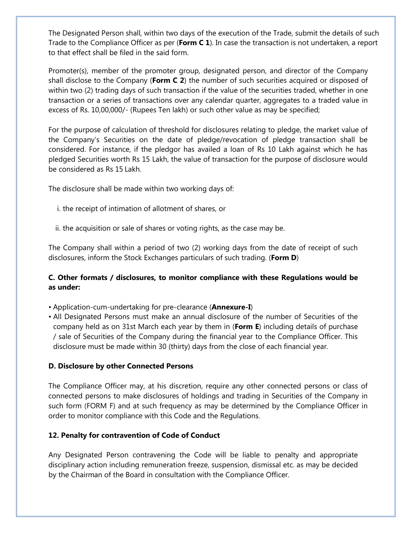The Designated Person shall, within two days of the execution of the Trade, submit the details of such Trade to the Compliance Officer as per (**Form C 1**). In case the transaction is not undertaken, a report to that effect shall be filed in the said form.

Promoter(s), member of the promoter group, designated person, and director of the Company shall disclose to the Company (**Form C 2**) the number of such securities acquired or disposed of within two (2) trading days of such transaction if the value of the securities traded, whether in one transaction or a series of transactions over any calendar quarter, aggregates to a traded value in excess of Rs. 10,00,000/- (Rupees Ten lakh) or such other value as may be specified;

For the purpose of calculation of threshold for disclosures relating to pledge, the market value of the Company's Securities on the date of pledge/revocation of pledge transaction shall be considered. For instance, if the pledgor has availed a loan of Rs 10 Lakh against which he has pledged Securities worth Rs 15 Lakh, the value of transaction for the purpose of disclosure would be considered as Rs 15 Lakh.

The disclosure shall be made within two working days of:

- i. the receipt of intimation of allotment of shares, or
- ii. the acquisition or sale of shares or voting rights, as the case may be.

The Company shall within a period of two (2) working days from the date of receipt of such disclosures, inform the Stock Exchanges particulars of such trading. (**Form D**)

# **C. Other formats / disclosures, to monitor compliance with these Regulations would be as under:**

- Application-cum-undertaking for pre-clearance (**Annexure-I**)
- All Designated Persons must make an annual disclosure of the number of Securities of the company held as on 31st March each year by them in (**Form E**) including details of purchase / sale of Securities of the Company during the financial year to the Compliance Officer. This disclosure must be made within 30 (thirty) days from the close of each financial year.

## **D. Disclosure by other Connected Persons**

The Compliance Officer may, at his discretion, require any other connected persons or class of connected persons to make disclosures of holdings and trading in Securities of the Company in such form (FORM F) and at such frequency as may be determined by the Compliance Officer in order to monitor compliance with this Code and the Regulations.

# **12. Penalty for contravention of Code of Conduct**

Any Designated Person contravening the Code will be liable to penalty and appropriate disciplinary action including remuneration freeze, suspension, dismissal etc. as may be decided by the Chairman of the Board in consultation with the Compliance Officer.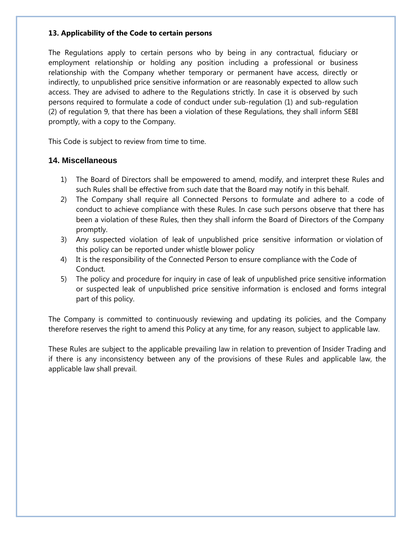# **13. Applicability of the Code to certain persons**

The Regulations apply to certain persons who by being in any contractual, fiduciary or employment relationship or holding any position including a professional or business relationship with the Company whether temporary or permanent have access, directly or indirectly, to unpublished price sensitive information or are reasonably expected to allow such access. They are advised to adhere to the Regulations strictly. In case it is observed by such persons required to formulate a code of conduct under sub-regulation (1) and sub-regulation (2) of regulation 9, that there has been a violation of these Regulations, they shall inform SEBI promptly, with a copy to the Company.

This Code is subject to review from time to time.

# **14. Miscellaneous**

- 1) The Board of Directors shall be empowered to amend, modify, and interpret these Rules and such Rules shall be effective from such date that the Board may notify in this behalf.
- 2) The Company shall require all Connected Persons to formulate and adhere to a code of conduct to achieve compliance with these Rules. In case such persons observe that there has been a violation of these Rules, then they shall inform the Board of Directors of the Company promptly.
- 3) Any suspected violation of leak of unpublished price sensitive information or violation of this policy can be reported under whistle blower policy
- 4) It is the responsibility of the Connected Person to ensure compliance with the Code of Conduct.
- 5) The policy and procedure for inquiry in case of leak of unpublished price sensitive information or suspected leak of unpublished price sensitive information is enclosed and forms integral part of this policy.

The Company is committed to continuously reviewing and updating its policies, and the Company therefore reserves the right to amend this Policy at any time, for any reason, subject to applicable law.

These Rules are subject to the applicable prevailing law in relation to prevention of Insider Trading and if there is any inconsistency between any of the provisions of these Rules and applicable law, the applicable law shall prevail.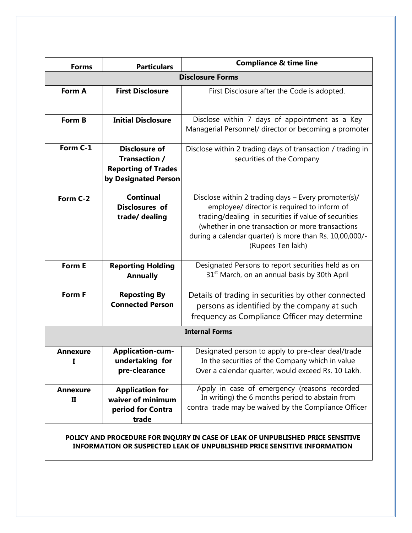| <b>Forms</b>         | <b>Particulars</b>                                                                          | <b>Compliance &amp; time line</b>                                                                                                                                                                                                                                                              |
|----------------------|---------------------------------------------------------------------------------------------|------------------------------------------------------------------------------------------------------------------------------------------------------------------------------------------------------------------------------------------------------------------------------------------------|
|                      |                                                                                             | <b>Disclosure Forms</b>                                                                                                                                                                                                                                                                        |
| Form A               | <b>First Disclosure</b>                                                                     | First Disclosure after the Code is adopted.                                                                                                                                                                                                                                                    |
| Form B               | <b>Initial Disclosure</b>                                                                   | Disclose within 7 days of appointment as a Key<br>Managerial Personnel/ director or becoming a promoter                                                                                                                                                                                        |
| Form C-1             | <b>Disclosure of</b><br>Transaction /<br><b>Reporting of Trades</b><br>by Designated Person | Disclose within 2 trading days of transaction / trading in<br>securities of the Company                                                                                                                                                                                                        |
| Form C-2             | <b>Continual</b><br><b>Disclosures</b> of<br>trade/ dealing                                 | Disclose within 2 trading days - Every promoter(s)/<br>employee/ director is required to inform of<br>trading/dealing in securities if value of securities<br>(whether in one transaction or more transactions<br>during a calendar quarter) is more than Rs. 10,00,000/-<br>(Rupees Ten lakh) |
| Form E               | <b>Reporting Holding</b><br><b>Annually</b>                                                 | Designated Persons to report securities held as on<br>31 <sup>st</sup> March, on an annual basis by 30th April                                                                                                                                                                                 |
| Form F               | <b>Reposting By</b><br><b>Connected Person</b>                                              | Details of trading in securities by other connected<br>persons as identified by the company at such<br>frequency as Compliance Officer may determine                                                                                                                                           |
|                      |                                                                                             | <b>Internal Forms</b>                                                                                                                                                                                                                                                                          |
| <b>Annexure</b><br>I | <b>Application-cum-</b><br>undertaking for<br>pre-clearance                                 | Designated person to apply to pre-clear deal/trade<br>In the securities of the Company which in value<br>Over a calendar quarter, would exceed Rs. 10 Lakh.                                                                                                                                    |
| <b>Annexure</b><br>П | <b>Application for</b><br>waiver of minimum<br>period for Contra<br>trade                   | Apply in case of emergency (reasons recorded<br>In writing) the 6 months period to abstain from<br>contra trade may be waived by the Compliance Officer                                                                                                                                        |
|                      |                                                                                             | POLICY AND PROCEDURE FOR INQUIRY IN CASE OF LEAK OF UNPUBLISHED PRICE SENSITIVE                                                                                                                                                                                                                |

# **INFORMATION OR SUSPECTED LEAK OF UNPUBLISHED PRICE SENSITIVE INFORMATION**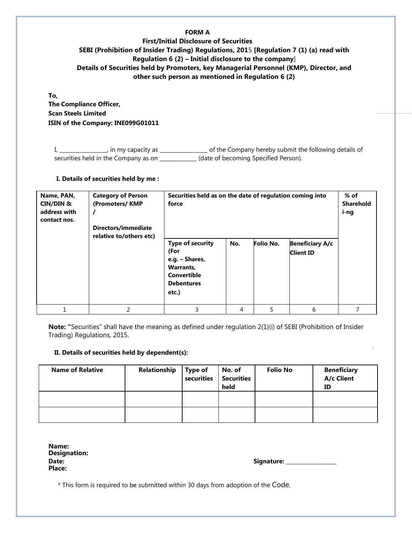#### **FORM A**

## **First/Initial Disclosure of Securities SEBI (Prohibition of Insider Trading) Regulations, 201**5 **[Regulation 7 (1) (a) read with Regulation 6 (2) – Initial disclosure to the company**] **Details of Securities held by Promoters, key Managerial Personnel (KMP), Director, and other such person as mentioned in Regulation 6 (2)**

**To, The Compliance Officer, Scan Steels Limited ISIN of the Company: INE099G01011**

I, \_\_\_\_\_\_\_\_\_\_\_\_\_\_\_, in my capacity as \_\_\_\_\_\_\_\_\_\_\_\_\_\_\_\_\_\_\_\_\_\_ of the Company hereby submit the following details of securities held in the Company as on \_\_\_\_\_\_\_\_\_\_\_\_\_ (date of becoming Specified Person).

#### **I. Details of securities held by me :**

| Name, PAN,<br><b>CIN/DIN &amp;</b><br>address with<br>contact nos. | <b>Category of Person</b><br>(Promoters/KMP<br>Directors/immediate<br>relative to/others etc) | Securities held as on the date of regulation coming into<br>force                                                  | % of<br><b>Sharehold</b><br>i-ng |   |   |  |
|--------------------------------------------------------------------|-----------------------------------------------------------------------------------------------|--------------------------------------------------------------------------------------------------------------------|----------------------------------|---|---|--|
|                                                                    |                                                                                               | <b>Type of security</b><br>(For<br>e.g. - Shares,<br>Warrants,<br><b>Convertible</b><br><b>Debentures</b><br>etc.) |                                  |   |   |  |
|                                                                    | $\overline{2}$                                                                                | 3                                                                                                                  | 4                                | 5 | 6 |  |

**Note: "**Securities" shall have the meaning as defined under regulation 2(1)(i) of SEBI (Prohibition of Insider Trading) Regulations, 2015.

#### **II. Details of securities held by dependent(s):**

| <b>Name of Relative</b> | Relationship | <b>Type of</b><br>securities | No. of<br><b>Securities</b><br>held | <b>Folio No</b> | <b>Beneficiary</b><br>A/c Client<br>ID |
|-------------------------|--------------|------------------------------|-------------------------------------|-----------------|----------------------------------------|
|                         |              |                              |                                     |                 |                                        |
|                         |              |                              |                                     |                 |                                        |

| Name:<br><b>Designation:</b> |  |
|------------------------------|--|
| Date:                        |  |
| Place:                       |  |

| Date: | Signature: |
|-------|------------|
|-------|------------|

\* This form is required to be submitted within 30 days from adoption of the Code.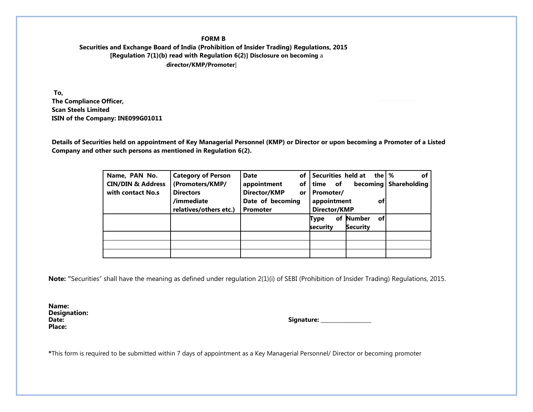#### **FORM B Securities and Exchange Board of India (Prohibition of Insider Trading) Regulations, 2015 [Regulation 7(1)(b) read with Regulation 6(2)] Disclosure on becoming** a **director/KMP/Promoter**]

 **To, The Compliance Officer, Scan Steels Limited ISIN of the Company: INE099G01011**

**Details of Securities held on appointment of Key Managerial Personnel (KMP) or Director or upon becoming a Promoter of a Listed Company and other such persons as mentioned in Regulation 6(2).**

| Name, PAN No.                | <b>Category of Person</b> | <b>Date</b>               | of Securities held at<br>the M     | оf                  |
|------------------------------|---------------------------|---------------------------|------------------------------------|---------------------|
| <b>CIN/DIN &amp; Address</b> | (Promoters/KMP/           | appointment               | of<br><b>becoming</b><br>of   time | <b>Shareholding</b> |
| with contact No.s            | <b>Directors</b>          | Director/KMP<br><b>or</b> | Promoter/                          |                     |
|                              | /immediate                | Date of becoming          | appointment<br>оf                  |                     |
|                              | relatives/others etc.)    | <b>Promoter</b>           | Director/KMP                       |                     |
|                              |                           |                           | <b>Number</b><br>of<br>οf<br>Type  |                     |
|                              |                           |                           | Security<br>security               |                     |
|                              |                           |                           |                                    |                     |
|                              |                           |                           |                                    |                     |
|                              |                           |                           |                                    |                     |

**Note: "**Securities" shall have the meaning as defined under regulation 2(1)(i) of SEBI (Prohibition of Insider Trading) Regulations, 2015.

**Name: Designation: Place:**

**Date: Signature: \_\_\_\_\_\_\_\_\_\_\_\_\_\_\_\_\_\_\_**

**\***This form is required to be submitted within 7 days of appointment as a Key Managerial Personnel/ Director or becoming promoter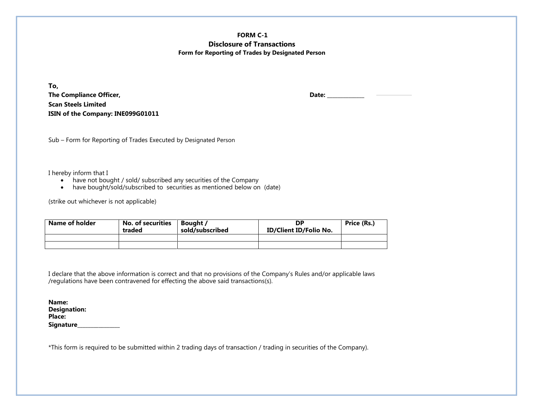**FORM C-1 Disclosure of Transactions Form for Reporting of Trades by Designated Person**

**To,** The Compliance Officer, **Date:** 2008 2014 2014 2022 2023 2024 2022 2023 2024 2022 2023 2024 2022 2023 2024 2022 2023 2024 2022 2023 2024 2022 2023 2024 2022 2023 2024 2022 2023 2024 2022 2023 2024 2022 2023 2024 2023 2024 **Scan Steels Limited ISIN of the Company: INE099G01011**

Sub – Form for Reporting of Trades Executed by Designated Person

I hereby inform that I

- have not bought / sold/ subscribed any securities of the Company
- have bought/sold/subscribed to securities as mentioned below on (date)

(strike out whichever is not applicable)

| Name of holder<br><b>No. of securities</b><br>traded |  | Bought /<br>sold/subscribed | DΡ<br><b>ID/Client ID/Folio No.</b> | Price (Rs.) |
|------------------------------------------------------|--|-----------------------------|-------------------------------------|-------------|
|                                                      |  |                             |                                     |             |
|                                                      |  |                             |                                     |             |

I declare that the above information is correct and that no provisions of the Company's Rules and/or applicable laws /regulations have been contravened for effecting the above said transactions(s).

| Name:               |  |
|---------------------|--|
| <b>Designation:</b> |  |
| Place:              |  |
| <b>Signature</b>    |  |

\*This form is required to be submitted within 2 trading days of transaction / trading in securities of the Company).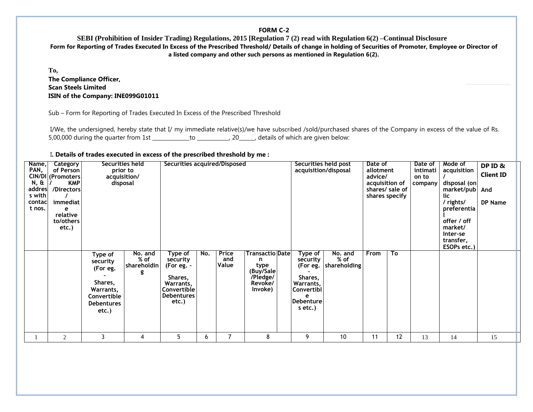#### **FORM C-2**

**SEBI (Prohibition of Insider Trading) Regulations, 2015 [Regulation 7 (2) read with Regulation 6(2) –Continual Disclosure Form for Reporting of Trades Executed In Excess of the Prescribed Threshold/ Details of change in holding of Securities of Promoter, Employee or Director of a listed company and other such persons as mentioned in Regulation 6(2).**

**To, The Compliance Officer, Scan Steels Limited ISIN of the Company: INE099G01011**

Sub – Form for Reporting of Trades Executed In Excess of the Prescribed Threshold

I/We, the undersigned, hereby state that I/ my immediate relative(s)/we have subscribed /sold/purchased shares of the Company in excess of the value of Rs. 5,00,000 during the quarter from 1st \_\_\_\_\_\_\_\_\_\_\_\_\_\_to \_\_\_\_\_\_\_\_\_\_\_\_, 20\_\_\_\_\_\_, details of which are given below:

|  |  |  |  |  |  | I. Details of trades executed in excess of the prescribed threshold by me : |  |  |
|--|--|--|--|--|--|-----------------------------------------------------------------------------|--|--|
|--|--|--|--|--|--|-----------------------------------------------------------------------------|--|--|

| Name,<br>PAN,<br>$N, \hat{\alpha}$<br>addres<br>s with<br>contacl<br>t nos. | Category<br>of Person<br>CIN/DI (Promoters<br><b>KMP</b><br>/Directors<br>immediat<br>e<br>relative<br>to/others<br>etc.) | prior to<br>acquisition/<br>disposal                                                                 |                                  | Securities acquired/Disposed                                                                           |     |                       |                                                                                      | Securities held post<br>acquisition/disposal                                                        |                                 | Date of<br>allotment<br>advice/<br>acquisition of<br>shares specify | shares/ sale of | Date of<br>intimati<br>on to<br>company | Mode of<br>acquisition<br>disposal (on<br>market/pub<br>lic<br>/ rights/<br>preferentia<br>offer / off<br>market/<br>Inter-se<br>transfer,<br>ESOPs etc.) | DP ID &<br><b>Client ID</b><br>And<br>DP Name |  |
|-----------------------------------------------------------------------------|---------------------------------------------------------------------------------------------------------------------------|------------------------------------------------------------------------------------------------------|----------------------------------|--------------------------------------------------------------------------------------------------------|-----|-----------------------|--------------------------------------------------------------------------------------|-----------------------------------------------------------------------------------------------------|---------------------------------|---------------------------------------------------------------------|-----------------|-----------------------------------------|-----------------------------------------------------------------------------------------------------------------------------------------------------------|-----------------------------------------------|--|
|                                                                             |                                                                                                                           | Type of<br>security<br>(For eg.<br>Shares,<br>Warrants,<br>Convertible<br><b>Debentures</b><br>etc.) | No. and<br>$%$ of<br>shareholdin | Type of<br>security<br>(For eg. -<br>Shares,<br>Warrants,<br>Convertible<br><b>Debentures</b><br>etc.) | No. | Price<br>and<br>Value | <b>Transactio Date</b><br>n.<br>type<br>(Buy/Sale)<br>/Pledge/<br>Revoke/<br>Invoke) | Type of<br>security<br>(For eg.<br>Shares,<br>Warrants,<br> Convertibl<br>e<br>Debenture<br>s etc.) | No. and<br>% of<br>shareholding | <b>From</b>                                                         | To              |                                         |                                                                                                                                                           |                                               |  |
|                                                                             | 2                                                                                                                         | 3                                                                                                    | 4                                | 5                                                                                                      | 6   | 7                     | 8                                                                                    | 9                                                                                                   | 10                              | 11                                                                  | 12              | 13                                      | 14                                                                                                                                                        | 15                                            |  |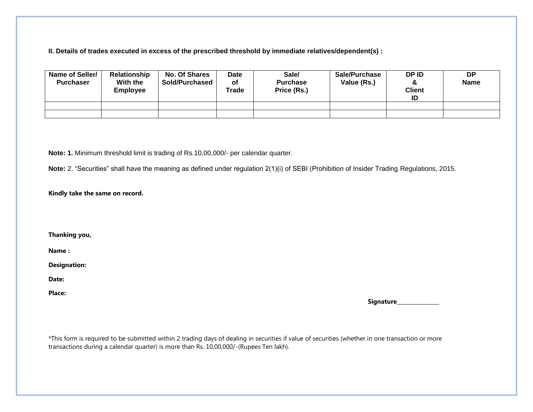**II. Details of trades executed in excess of the prescribed threshold by immediate relatives/dependent(s) :**

| Name of Seller/<br><b>Purchaser</b> | Relationship<br>With the<br><b>Employee</b> | <b>No. Of Shares</b><br><b>Sold/Purchased</b> | <b>Date</b><br>οf<br>Trade | Sale/<br><b>Purchase</b><br>Price (Rs.) | Sale/Purchase<br>Value (Rs.) | DP ID<br>$\alpha$<br><b>Client</b><br>ID | <b>DP</b><br><b>Name</b> |
|-------------------------------------|---------------------------------------------|-----------------------------------------------|----------------------------|-----------------------------------------|------------------------------|------------------------------------------|--------------------------|
|                                     |                                             |                                               |                            |                                         |                              |                                          |                          |
|                                     |                                             |                                               |                            |                                         |                              |                                          |                          |

**Note: 1.** Minimum threshold limit is trading of Rs.10,00,000/- per calendar quarter.

**Note:** 2. "Securities" shall have the meaning as defined under regulation 2(1)(i) of SEBI (Prohibition of Insider Trading Regulations, 2015.

#### **Kindly take the same on record.**

**Thanking you,**

**Name :**

**Designation:** 

**Date:** 

**Place:** 

 **Signature\_\_\_\_\_\_\_\_\_\_\_\_\_\_\_\_**

\*This form is required to be submitted within 2 trading days of dealing in securities if value of securities (whether in one transaction or more transactions during a calendar quarter) is more than Rs. 10,00,000/-(Rupees Ten lakh).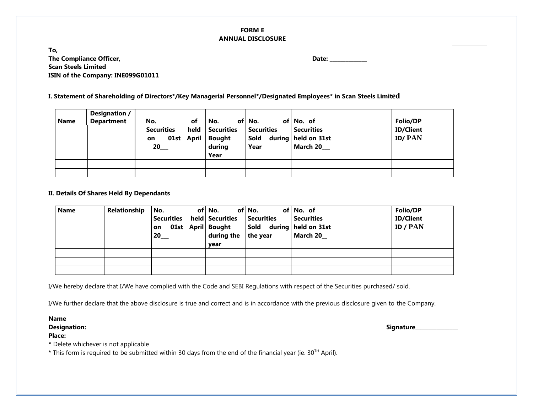#### **FORM E ANNUAL DISCLOSURE**

**To, The Compliance Officer, Date: \_\_\_\_\_\_\_\_\_\_\_\_\_\_ Scan Steels Limited ISIN of the Company: INE099G01011**

**I. Statement of Shareholding of Directors\*/Key Managerial Personnel\*/Designated Employees\* in Scan Steels Limiteded**

| <b>Name</b> | Designation /<br><b>Department</b> | of<br>No.<br>held<br><b>Securities</b><br>01st April<br>on<br>$20$ <sub>——</sub> | No.<br>Securities<br><b>Bought</b><br>during<br>Year | of No.<br>Securities<br>Sold<br>Year | of No. of<br><b>Securities</b><br>during held on 31st<br><b>March 20</b> | Folio/DP<br><b>ID/Client</b><br><b>ID/PAN</b> |
|-------------|------------------------------------|----------------------------------------------------------------------------------|------------------------------------------------------|--------------------------------------|--------------------------------------------------------------------------|-----------------------------------------------|
|             |                                    |                                                                                  |                                                      |                                      |                                                                          |                                               |
|             |                                    |                                                                                  |                                                      |                                      |                                                                          |                                               |

#### **II. Details Of Shares Held By Dependants**

| <b>Name</b> | Relationship | l No.<br>Securities held Securities Securities<br>01st April Bought<br>on<br>$20$ <sub>___</sub> | of   No.<br>during the $ $ the year<br>vear | of No.<br>Sold during held on 31st | of No. of<br>Securities<br>March 20 | Folio/DP<br><b>ID/Client</b><br>ID / PAN |
|-------------|--------------|--------------------------------------------------------------------------------------------------|---------------------------------------------|------------------------------------|-------------------------------------|------------------------------------------|
|             |              |                                                                                                  |                                             |                                    |                                     |                                          |
|             |              |                                                                                                  |                                             |                                    |                                     |                                          |
|             |              |                                                                                                  |                                             |                                    |                                     |                                          |

I/We hereby declare that I/We have complied with the Code and SEBI Regulations with respect of the Securities purchased/ sold.

I/We further declare that the above disclosure is true and correct and is in accordance with the previous disclosure given to the Company.

**Name**

**Place:**

**Designation: Signature\_\_\_\_\_\_\_\_\_\_\_\_\_\_\_\_**

**\*** Delete whichever is not applicable

\* This form is required to be submitted within 30 days from the end of the financial year (ie. 30TH April).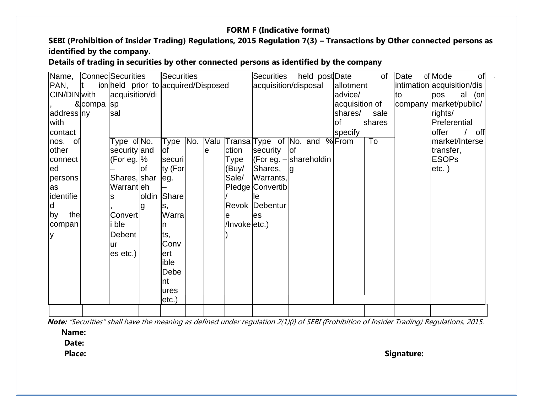# **FORM F (Indicative format)**

SEBI (Prohibition of Insider Trading) Regulations, 2015 Regulation 7(3) - Transactions by Other connected persons as **identified by the company.**

**Details of trading in securities by other connected persons as identified by the company**

| Name,        |              | Connec Securities                   |     | Securities   |     |    |               | <b>Securities</b>                 | held post Date |                | of     | Date | of Mode<br><b>of</b>       |
|--------------|--------------|-------------------------------------|-----|--------------|-----|----|---------------|-----------------------------------|----------------|----------------|--------|------|----------------------------|
| PAN,         | $\mathbf{t}$ | ion held prior to acquired/Disposed |     |              |     |    |               | acquisition/disposal              |                | allotment      |        |      | intimation acquisition/dis |
| CIN/DIN with |              | acquisition/di                      |     |              |     |    |               |                                   |                | advice/        |        | to   | pos<br>al (on              |
|              | &compa sp    |                                     |     |              |     |    |               |                                   |                | acquisition of |        |      | company market/public/     |
| address ny   |              | sal                                 |     |              |     |    |               |                                   |                | shares/        | sale   |      | rights/                    |
| with         |              |                                     |     |              |     |    |               |                                   |                | оf             | shares |      | Preferential               |
| contact      |              |                                     |     |              |     |    |               |                                   |                | specify        |        |      | <b>offer</b><br>off        |
| nos. of      |              | Type of No.                         |     | Type         | No. |    |               | Valu Transa Type of No. and %From |                |                | To     |      | market/Interse             |
| other        |              | security and                        |     | lof          |     | le | ction         | security                          | lof            |                |        |      | transfer,                  |
| connect      |              | (For eg. $\%$                       |     | securil      |     |    | Type          | $ $ (For eg. $-$ shareholdin      |                |                |        |      | <b>ESOPs</b>               |
| led          |              |                                     | lof | ty (For      |     |    | (Buy/         | Shares,                           | <b>l</b> g     |                |        |      | $etc.$ )                   |
| persons      |              | Shares, shar leg.                   |     |              |     |    | Sale/         | Warrants,                         |                |                |        |      |                            |
| as           |              | Warrantleh                          |     |              |     |    |               | Pledge Convertib                  |                |                |        |      |                            |
| identifie    |              |                                     |     | oldin Share  |     |    |               |                                   |                |                |        |      |                            |
| ld           |              |                                     |     | lS,          |     |    |               | <b>Revok Debentur</b>             |                |                |        |      |                            |
| the<br>by    |              | Convert                             |     | Warra        |     |    |               | les                               |                |                |        |      |                            |
| compan       |              | ble                                 |     | n.           |     |    | /Invoke etc.) |                                   |                |                |        |      |                            |
| ly           |              | <b>Debent</b>                       |     | ts,          |     |    |               |                                   |                |                |        |      |                            |
|              |              | ur                                  |     | Conv         |     |    |               |                                   |                |                |        |      |                            |
|              |              | es etc.)                            |     | ert          |     |    |               |                                   |                |                |        |      |                            |
|              |              |                                     |     | ible         |     |    |               |                                   |                |                |        |      |                            |
|              |              |                                     |     | Debe         |     |    |               |                                   |                |                |        |      |                            |
|              |              |                                     |     | nt           |     |    |               |                                   |                |                |        |      |                            |
|              |              |                                     |     | <b>ures</b>  |     |    |               |                                   |                |                |        |      |                            |
|              |              |                                     |     | $ $ etc. $ $ |     |    |               |                                   |                |                |        |      |                            |
|              |              |                                     |     |              |     |    |               |                                   |                |                |        |      |                            |

 **Note:** "Securities" shall have the meaning as defined under regulation 2(1)(i) of SEBI (Prohibition of Insider Trading) Regulations, 2015.

**Name:**

 **Date:**

Place: Signature: Signature: Signature: Signature: Signature: Signature: Signature: Signature: Signature: Signature: Signature: Signature: Signature: Signature: Signature: Signature: Signature: Signature: Signature: Signat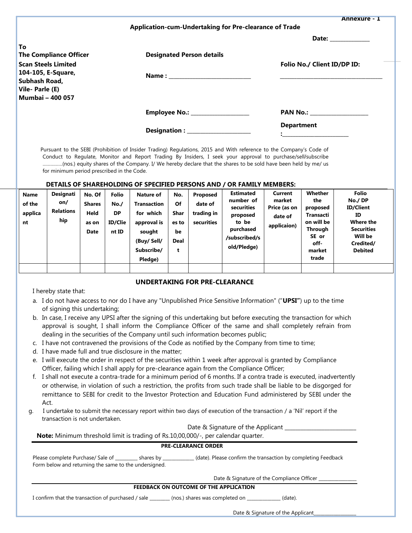|                               |                                                        | <b>Annexure - 1</b>                                                                                                                                                                                                                 |
|-------------------------------|--------------------------------------------------------|-------------------------------------------------------------------------------------------------------------------------------------------------------------------------------------------------------------------------------------|
|                               | Application-cum-Undertaking for Pre-clearance of Trade |                                                                                                                                                                                                                                     |
|                               |                                                        | Date: ___________                                                                                                                                                                                                                   |
| To                            |                                                        |                                                                                                                                                                                                                                     |
| <b>The Compliance Officer</b> | <b>Designated Person details</b>                       |                                                                                                                                                                                                                                     |
| <b>Scan Steels Limited</b>    |                                                        | Folio No./ Client ID/DP ID:                                                                                                                                                                                                         |
| 104-105, E-Square,            |                                                        |                                                                                                                                                                                                                                     |
| Subhash Road,                 |                                                        |                                                                                                                                                                                                                                     |
| Vile-Parle (E)                |                                                        |                                                                                                                                                                                                                                     |
| <b>Mumbai - 400 057</b>       |                                                        |                                                                                                                                                                                                                                     |
|                               |                                                        | <b>PAN No.:</b> The contract of the contract of the contract of the contract of the contract of the contract of the contract of the contract of the contract of the contract of the contract of the contract of the contract of the |
|                               |                                                        | <b>Department</b>                                                                                                                                                                                                                   |
|                               |                                                        | $\mathbf{1}$ and $\mathbf{1}$ and $\mathbf{1}$ and $\mathbf{1}$ and $\mathbf{1}$                                                                                                                                                    |
|                               |                                                        |                                                                                                                                                                                                                                     |

 Pursuant to the SEBI (Prohibition of Insider Trading) Regulations, 2015 and With reference to the Company's Code of Conduct to Regulate, Monitor and Report Trading By Insiders, I seek your approval to purchase/sell/subscribe ……………(nos.) equity shares of the Company. I/ We hereby declare that the shares to be sold have been held by me/ us for minimum period prescribed in the Code.

#### **DETAILS OF SHAREHOLDING OF SPECIFIED PERSONS AND / OR FAMILY MEMBERS:**

#### **UNDERTAKING FOR PRE-CLEARANCE**

I hereby state that:

- a. I do not have access to nor do I have any "Unpublished Price Sensitive Information" ("**UPSI"**) up to the time of signing this undertaking;
- b. In case, I receive any UPSI after the signing of this undertaking but before executing the transaction for which approval is sought, I shall inform the Compliance Officer of the same and shall completely refrain from dealing in the securities of the Company until such information becomes public;
- c. I have not contravened the provisions of the Code as notified by the Company from time to time;
- d. I have made full and true disclosure in the matter;
- e. I will execute the order in respect of the securities within 1 week after approval is granted by Compliance Officer, failing which I shall apply for pre-clearance again from the Compliance Officer;
- f. I shall not execute a contra-trade for a minimum period of 6 months. If a contra trade is executed, inadvertently or otherwise, in violation of such a restriction, the profits from such trade shall be liable to be disgorged for remittance to SEBI for credit to the Investor Protection and Education Fund administered by SEBI under the Act.
- g. I undertake to submit the necessary report within two days of execution of the transaction / a 'Nil' report if the transaction is not undertaken.

Date & Signature of the Applicant \_\_\_\_\_\_\_\_\_\_\_\_\_\_\_\_\_\_\_\_\_\_\_\_\_\_\_

**Note:** Minimum threshold limit is trading of Rs.10,00,000/-, per calendar quarter.

#### **PRE-CLEARANCE ORDER**

| Please complete Purchase/ Sale of                     | shares by | (date). Please confirm the transaction by completing Feedback |
|-------------------------------------------------------|-----------|---------------------------------------------------------------|
| Form below and returning the same to the undersigned. |           |                                                               |

Date & Signature of the Compliance Officer \_

#### **FEEDBACK ON OUTCOME OF THE APPLICATION**

I confirm that the transaction of purchased / sale \_\_\_\_\_\_\_\_ (nos.) shares was completed on \_\_\_\_\_\_\_\_\_\_\_\_\_\_ (date).

Date & Signature of the Applicant\_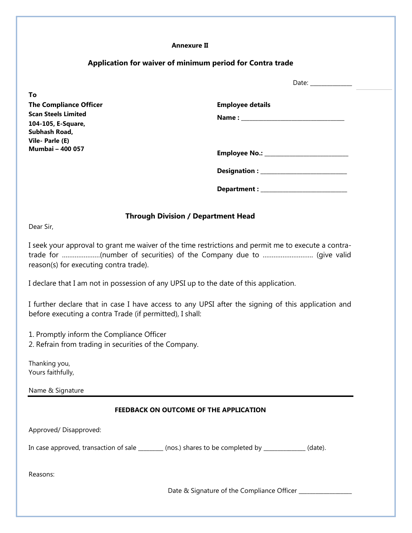#### **Annexure II**

# **Application for waiver of minimum period for Contra trade**

|                                           | Date.                   |
|-------------------------------------------|-------------------------|
| To                                        |                         |
| <b>The Compliance Officer</b>             | <b>Employee details</b> |
| <b>Scan Steels Limited</b>                |                         |
| 104-105, E-Square,                        |                         |
| Subhash Road,                             |                         |
| Vile-Parle (E)<br><b>Mumbai - 400 057</b> |                         |
|                                           |                         |
|                                           |                         |
|                                           |                         |
|                                           | Department:             |

 $D_{\alpha+\alpha}$ :

## **Through Division / Department Head**

Dear Sir,

I seek your approval to grant me waiver of the time restrictions and permit me to execute a contratrade for …………………(number of securities) of the Company due to ………………………. (give valid reason(s) for executing contra trade).

I declare that I am not in possession of any UPSI up to the date of this application.

I further declare that in case I have access to any UPSI after the signing of this application and before executing a contra Trade (if permitted), I shall:

1. Promptly inform the Compliance Officer

2. Refrain from trading in securities of the Company.

Thanking you, Yours faithfully,

Name & Signature

#### **FEEDBACK ON OUTCOME OF THE APPLICATION**

Approved/ Disapproved:

In case approved, transaction of sale \_\_\_\_\_\_\_\_ (nos.) shares to be completed by \_\_\_\_\_\_\_\_\_\_\_\_\_\_ (date).

Reasons:

Date & Signature of the Compliance Officer \_\_\_\_\_\_\_\_\_\_\_\_\_\_\_\_\_\_\_